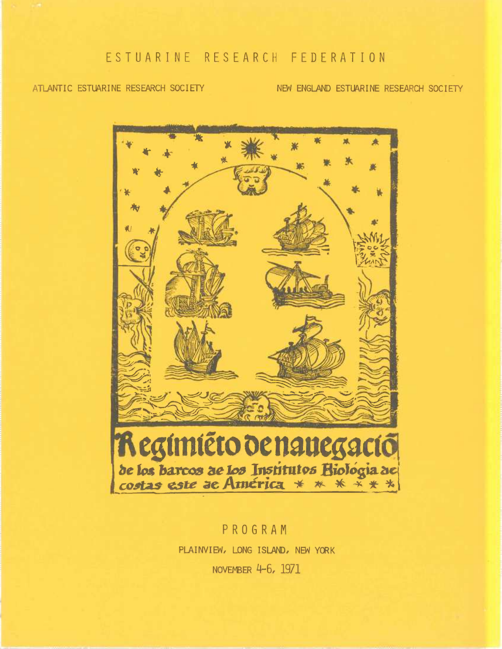ATLANTIC ESTUARINE RESEARCH SOCIETY

NEW ENGLAND ESTUARINE RESEARCH SOCIETY



PROGRAM PLAINVIEW, LONG ISLAND, NEW YORK NOVEMBER 4-6, 1971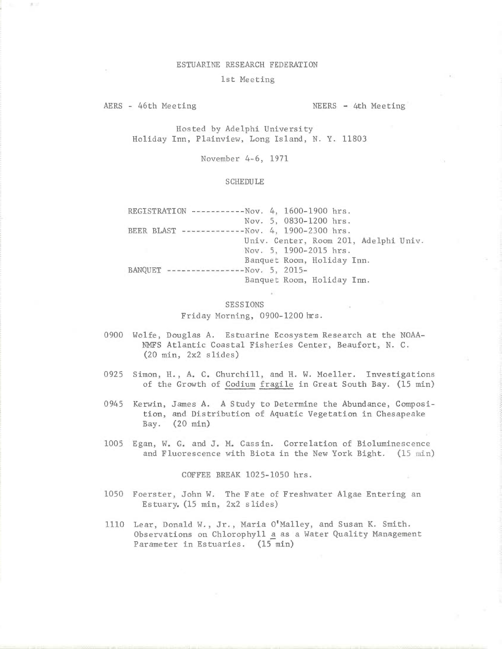## ESTUARINE RESEARCH FEDERATION

## 1st Meeting

AERS - 46th Meeting NEERS - 4th Meeting

Hosted by Adelphi University Holiday Inn, Plainview, Long Island, N. Y. 11803

November 4-6, 1971

## SCHEDULE

REGISTRATION -----------Nov. 4, 1600-1900 hrs. Nov. 5, 0830-1200 hrs. BEER BLAST -------------Nov. 4, 1900-2300 hrs. Univ. Center, Room 201, Adelphi Univ. Nov. 5, 1900-2015 hrs. Banquet Room, Holiday Inn. BANQUET ----------------Nov. 5, 2015- Banquet Room, Holiday Inn.

## SESSIONS Friday Morning, 0900-1200 hrs.

- 0900 Wolfe, Douglas A. Estuarine Ecosystem Research at the NOAA-NMFS Atlantic Coastal Fisheries Center, Beaufort, N. C. (20 min, 2x2 slides)
- 0925 Simon, H., A, C. Churchill, and H. W. Moeller. Investigations of the Growth of Codium fragile in Great South Bay. (15 min)
- 0945 Kerwin, James A. A Study to Determine the Abundance, Composition, and Distribution of Aquatic Vegetation in Chesapeake Bay. (20 min)
- 1005 Egan, W. G, and J. M. Cass in. Correlation of Bioluminescence and Fluorescence with Biota in the New York Bight. (15 min)

COFFEE BREAK 1025-1050 hrs.

- 1050 Foerster, John W. The Fate of Freshwater Algae Entering an Estuary. (15 min, 2x2 slides)
- 1110 Lear, Donald W., Jr., Maria O'Malley, and Susan K. Smith. Observations on Chlorophyll a as a Water Quality Management Parameter in Estuaries. (15 min)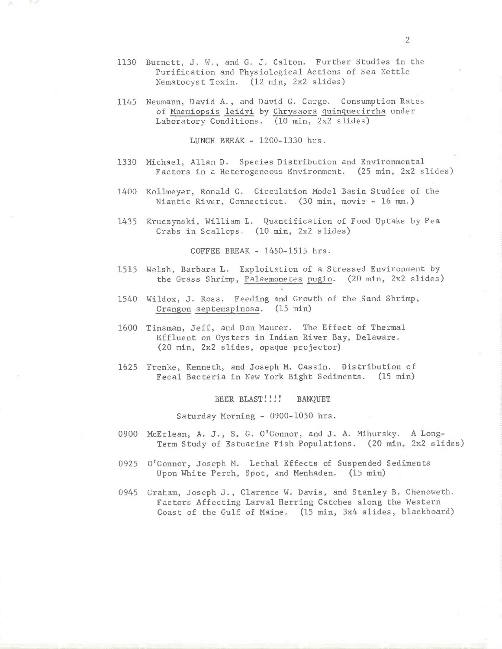- 1130 Burnett, J. W., and G. J. Calton. Further Studies in the Purification and Physiological Actions of Sea Nettle Nematocyst Toxin. (12 min, 2x2 slides)
- 1145 Neumann, David A., and David G. Cargo. Consumption Rates of Mnemiopsis leidyi by Chrysaora quinquecirrha under Laboratory Conditions. (10 min, 2x2 slides)

LUNCH BREAK - 1200-1330 hrs.

- 1330 Michael, Allan D. Species Distribution and Environmental Factors in a Heterogeneous Environment. (25 min, 2x2 slides)
- 1400 Kollmeyer, Ronald C. Circulation Model Basin Studies of the Niantic River, Connecticut. (30 min, movie - 16 mm.)
- 1435 Kruczynski, William L. Quantification of Food Uptake by Pea Crabs in Scallops. (10 min, 2x2 slides)

COFFEE BREAK - 1450-1515 hrs.

- 1515 Welsh, Barbara L. Exploitation of a Stressed Environment by the Grass Shrimp, Palaemonetes pugio. (20 min, 2x2 slides)
- 1540 Wildox, J. Ross. Feeding and Growth of the Sand Shrimp, Crangon septemspinosa. (15 min)
- 1600 Tinsman, Jeff, and Don Maurer. The Effect of Thermal Effluent on Oysters in Indian River Bay, Delaware. (20 min, 2x2 slides, opaque projector)
- 1625 Frenke, Kenneth, and Joseph M. Cassin. Distribution of Fecal Bacteria in New York Bight Sediments. (15 min)

BEER BLAST!!!! BANQUET

Saturday Morning - 0900-1050 hrs.

- 0900 McErlean, A. J.; S. G. O'Connor, and J. A. Mihursky. A Long-Term Study of Estuarine Fish Populations. (20 min, 2x2 slides)
- 0925 O'Connor, Joseph M. Lethal Effects of Suspended Sediments Upon White Perch, Spot, and Menhaden. (15 min)
- 0945 Graham, Joseph J., Clarence W. Davis, and Stanley B. Chenoweth. Factors Affecting Larval Herring Catches along the Western Coast of the Gulf of Maine. (15 min, 3x4 slides, blackboard)